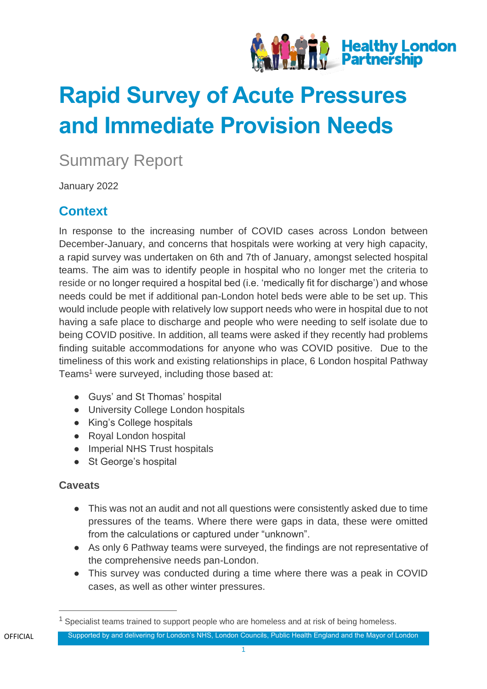

# **Rapid Survey of Acute Pressures and Immediate Provision Needs**

# Summary Report

January 2022

# **Context**

In response to the increasing number of COVID cases across London between December-January, and concerns that hospitals were working at very high capacity, a rapid survey was undertaken on 6th and 7th of January, amongst selected hospital teams. The aim was to identify people in hospital who no longer met the criteria to reside or no longer required a hospital bed (i.e. 'medically fit for discharge') and whose needs could be met if additional pan-London hotel beds were able to be set up. This would include people with relatively low support needs who were in hospital due to not having a safe place to discharge and people who were needing to self isolate due to being COVID positive. In addition, all teams were asked if they recently had problems finding suitable accommodations for anyone who was COVID positive. Due to the timeliness of this work and existing relationships in place, 6 London hospital Pathway Teams<sup>1</sup> were surveyed, including those based at:

- Guys' and St Thomas' hospital
- University College London hospitals
- King's College hospitals
- Royal London hospital
- Imperial NHS Trust hospitals
- St George's hospital

#### **Caveats**

- This was not an audit and not all questions were consistently asked due to time pressures of the teams. Where there were gaps in data, these were omitted from the calculations or captured under "unknown".
- As only 6 Pathway teams were surveyed, the findings are not representative of the comprehensive needs pan-London.
- This survey was conducted during a time where there was a peak in COVID cases, as well as other winter pressures.

Specialist teams trained to support people who are homeless and at risk of being homeless.

Supported by and delivering for London's NHS, London Councils, Public Health England and the Mayor of London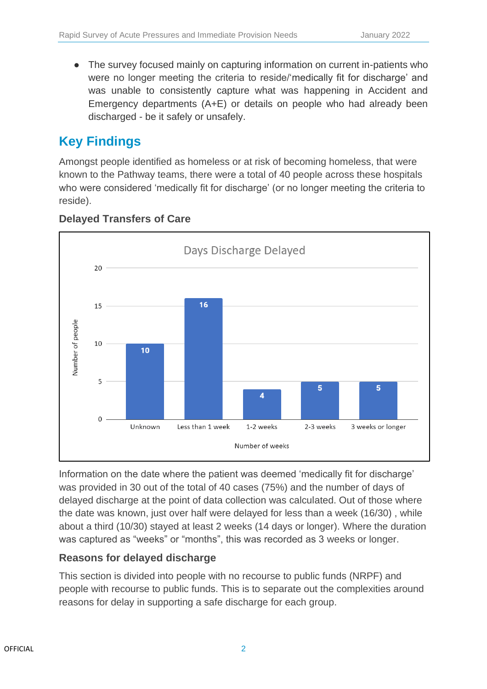● The survey focused mainly on capturing information on current in-patients who were no longer meeting the criteria to reside/'medically fit for discharge' and was unable to consistently capture what was happening in Accident and Emergency departments (A+E) or details on people who had already been discharged - be it safely or unsafely.

# **Key Findings**

Amongst people identified as homeless or at risk of becoming homeless, that were known to the Pathway teams, there were a total of 40 people across these hospitals who were considered 'medically fit for discharge' (or no longer meeting the criteria to reside).



#### **Delayed Transfers of Care**

Information on the date where the patient was deemed 'medically fit for discharge' was provided in 30 out of the total of 40 cases (75%) and the number of days of delayed discharge at the point of data collection was calculated. Out of those where the date was known, just over half were delayed for less than a week (16/30) , while about a third (10/30) stayed at least 2 weeks (14 days or longer). Where the duration was captured as "weeks" or "months", this was recorded as 3 weeks or longer.

#### **Reasons for delayed discharge**

This section is divided into people with no recourse to public funds (NRPF) and people with recourse to public funds. This is to separate out the complexities around reasons for delay in supporting a safe discharge for each group.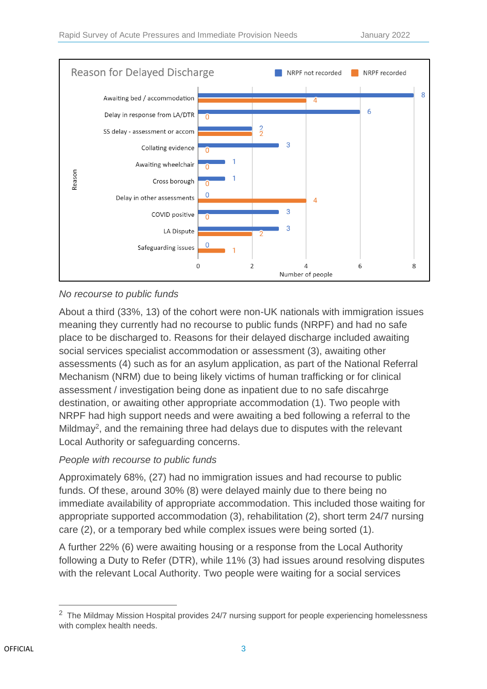

#### *No recourse to public funds*

About a third (33%, 13) of the cohort were non-UK nationals with immigration issues meaning they currently had no recourse to public funds (NRPF) and had no safe place to be discharged to. Reasons for their delayed discharge included awaiting social services specialist accommodation or assessment (3), awaiting other assessments (4) such as for an asylum application, as part of the National Referral Mechanism (NRM) due to being likely victims of human trafficking or for clinical assessment / investigation being done as inpatient due to no safe discahrge destination, or awaiting other appropriate accommodation (1). Two people with NRPF had high support needs and were awaiting a bed following a referral to the Mildmay<sup>2</sup>, and the remaining three had delays due to disputes with the relevant Local Authority or safeguarding concerns.

#### *People with recourse to public funds*

Approximately 68%, (27) had no immigration issues and had recourse to public funds. Of these, around 30% (8) were delayed mainly due to there being no immediate availability of appropriate accommodation. This included those waiting for appropriate supported accommodation (3), rehabilitation (2), short term 24/7 nursing care (2), or a temporary bed while complex issues were being sorted (1).

A further 22% (6) were awaiting housing or a response from the Local Authority following a Duty to Refer (DTR), while 11% (3) had issues around resolving disputes with the relevant Local Authority. Two people were waiting for a social services

<sup>&</sup>lt;sup>2</sup> The Mildmay Mission Hospital provides 24/7 nursing support for people experiencing homelessness with complex health needs.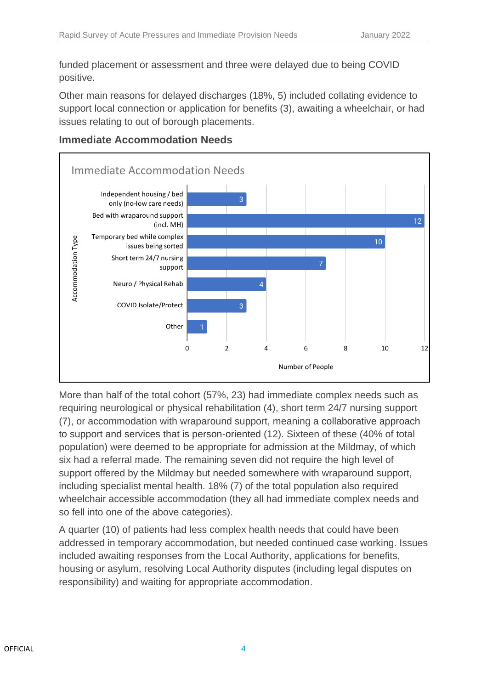funded placement or assessment and three were delayed due to being COVID positive.

Other main reasons for delayed discharges (18%, 5) included collating evidence to support local connection or application for benefits (3), awaiting a wheelchair, or had issues relating to out of borough placements.



#### **Immediate Accommodation Needs**

More than half of the total cohort (57%, 23) had immediate complex needs such as requiring neurological or physical rehabilitation (4), short term 24/7 nursing support (7), or accommodation with wraparound support, meaning a collaborative approach to support and services that is person-oriented (12). Sixteen of these (40% of total population) were deemed to be appropriate for admission at the Mildmay, of which six had a referral made. The remaining seven did not require the high level of support offered by the Mildmay but needed somewhere with wraparound support, including specialist mental health. 18% (7) of the total population also required wheelchair accessible accommodation (they all had immediate complex needs and so fell into one of the above categories).

A quarter (10) of patients had less complex health needs that could have been addressed in temporary accommodation, but needed continued case working. Issues included awaiting responses from the Local Authority, applications for benefits, housing or asylum, resolving Local Authority disputes (including legal disputes on responsibility) and waiting for appropriate accommodation.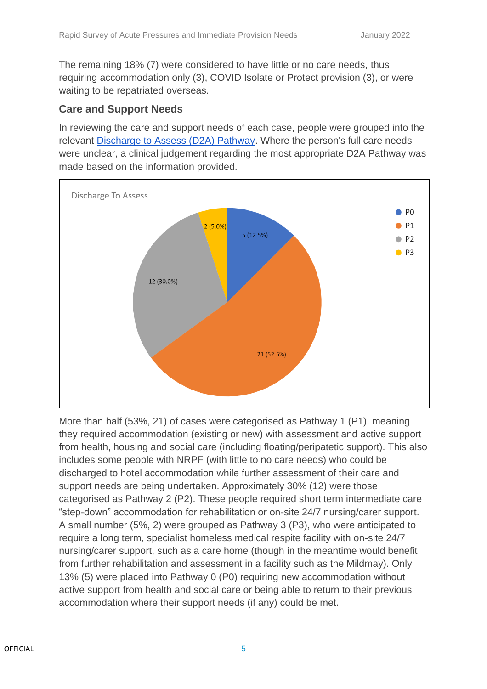The remaining 18% (7) were considered to have little or no care needs, thus requiring accommodation only (3), COVID Isolate or Protect provision (3), or were waiting to be repatriated overseas.

#### **Care and Support Needs**

In reviewing the care and support needs of each case, people were grouped into the relevant [Discharge to Assess \(D2A\) Pathway.](https://assets.publishing.service.gov.uk/government/uploads/system/uploads/attachment_data/file/1026672/hospital-discharge-and-community-support-policy-and-operating-model-oct-2021.pdf) Where the person's full care needs were unclear, a clinical judgement regarding the most appropriate D2A Pathway was made based on the information provided.



More than half (53%, 21) of cases were categorised as Pathway 1 (P1), meaning they required accommodation (existing or new) with assessment and active support from health, housing and social care (including floating/peripatetic support). This also includes some people with NRPF (with little to no care needs) who could be discharged to hotel accommodation while further assessment of their care and support needs are being undertaken. Approximately 30% (12) were those categorised as Pathway 2 (P2). These people required short term intermediate care "step-down" accommodation for rehabilitation or on-site 24/7 nursing/carer support. A small number (5%, 2) were grouped as Pathway 3 (P3), who were anticipated to require a long term, specialist homeless medical respite facility with on-site 24/7 nursing/carer support, such as a care home (though in the meantime would benefit from further rehabilitation and assessment in a facility such as the Mildmay). Only 13% (5) were placed into Pathway 0 (P0) requiring new accommodation without active support from health and social care or being able to return to their previous accommodation where their support needs (if any) could be met.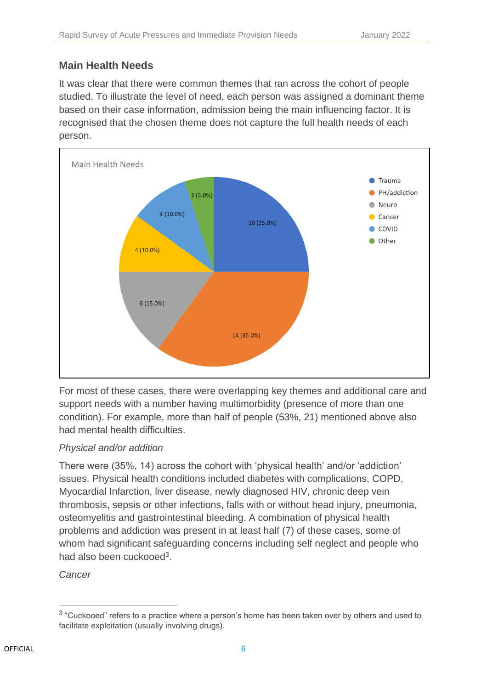#### **Main Health Needs**

It was clear that there were common themes that ran across the cohort of people studied. To illustrate the level of need, each person was assigned a dominant theme based on their case information, admission being the main influencing factor. It is recognised that the chosen theme does not capture the full health needs of each person.



For most of these cases, there were overlapping key themes and additional care and support needs with a number having multimorbidity (presence of more than one condition). For example, more than half of people (53%, 21) mentioned above also had mental health difficulties.

#### *Physical and/or addition*

There were (35%, 14) across the cohort with 'physical health' and/or 'addiction' issues. Physical health conditions included diabetes with complications, COPD, Myocardial Infarction, liver disease, newly diagnosed HIV, chronic deep vein thrombosis, sepsis or other infections, falls with or without head injury, pneumonia, osteomyelitis and gastrointestinal bleeding. A combination of physical health problems and addiction was present in at least half (7) of these cases, some of whom had significant safeguarding concerns including self neglect and people who had also been cuckooed<sup>3</sup>.

*Cancer*

 $^3$  "Cuckooed" refers to a practice where a person's home has been taken over by others and used to facilitate exploitation (usually involving drugs).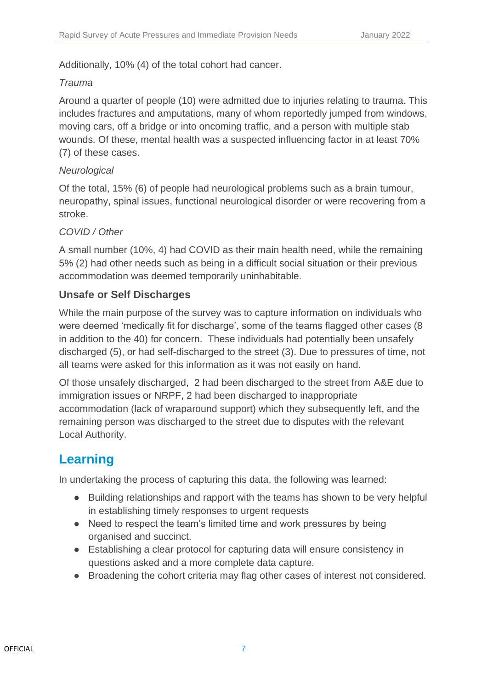Additionally, 10% (4) of the total cohort had cancer.

#### *Trauma*

Around a quarter of people (10) were admitted due to injuries relating to trauma. This includes fractures and amputations, many of whom reportedly jumped from windows, moving cars, off a bridge or into oncoming traffic, and a person with multiple stab wounds. Of these, mental health was a suspected influencing factor in at least 70% (7) of these cases.

#### *Neurological*

Of the total, 15% (6) of people had neurological problems such as a brain tumour, neuropathy, spinal issues, functional neurological disorder or were recovering from a stroke.

#### *COVID / Other*

A small number (10%, 4) had COVID as their main health need, while the remaining 5% (2) had other needs such as being in a difficult social situation or their previous accommodation was deemed temporarily uninhabitable.

#### **Unsafe or Self Discharges**

While the main purpose of the survey was to capture information on individuals who were deemed 'medically fit for discharge', some of the teams flagged other cases (8 in addition to the 40) for concern. These individuals had potentially been unsafely discharged (5), or had self-discharged to the street (3). Due to pressures of time, not all teams were asked for this information as it was not easily on hand.

Of those unsafely discharged, 2 had been discharged to the street from A&E due to immigration issues or NRPF, 2 had been discharged to inappropriate accommodation (lack of wraparound support) which they subsequently left, and the remaining person was discharged to the street due to disputes with the relevant Local Authority.

# **Learning**

In undertaking the process of capturing this data, the following was learned:

- Building relationships and rapport with the teams has shown to be very helpful in establishing timely responses to urgent requests
- Need to respect the team's limited time and work pressures by being organised and succinct.
- Establishing a clear protocol for capturing data will ensure consistency in questions asked and a more complete data capture.
- Broadening the cohort criteria may flag other cases of interest not considered.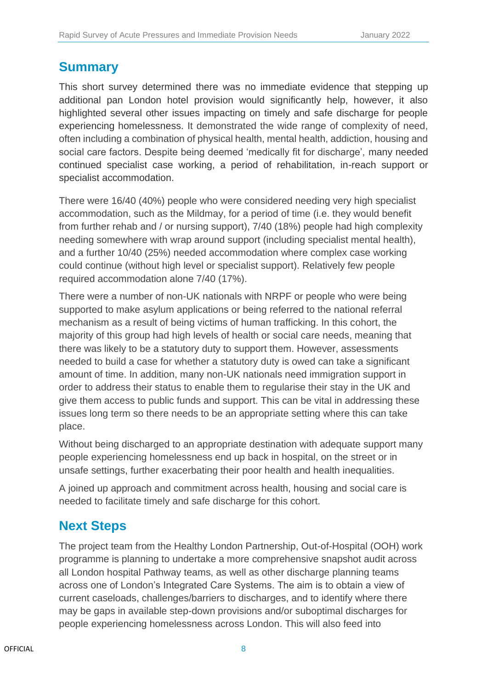## **Summary**

This short survey determined there was no immediate evidence that stepping up additional pan London hotel provision would significantly help, however, it also highlighted several other issues impacting on timely and safe discharge for people experiencing homelessness. It demonstrated the wide range of complexity of need, often including a combination of physical health, mental health, addiction, housing and social care factors. Despite being deemed 'medically fit for discharge', many needed continued specialist case working, a period of rehabilitation, in-reach support or specialist accommodation.

There were 16/40 (40%) people who were considered needing very high specialist accommodation, such as the Mildmay, for a period of time (i.e. they would benefit from further rehab and / or nursing support), 7/40 (18%) people had high complexity needing somewhere with wrap around support (including specialist mental health), and a further 10/40 (25%) needed accommodation where complex case working could continue (without high level or specialist support). Relatively few people required accommodation alone 7/40 (17%).

There were a number of non-UK nationals with NRPF or people who were being supported to make asylum applications or being referred to the national referral mechanism as a result of being victims of human trafficking. In this cohort, the majority of this group had high levels of health or social care needs, meaning that there was likely to be a statutory duty to support them. However, assessments needed to build a case for whether a statutory duty is owed can take a significant amount of time. In addition, many non-UK nationals need immigration support in order to address their status to enable them to regularise their stay in the UK and give them access to public funds and support. This can be vital in addressing these issues long term so there needs to be an appropriate setting where this can take place.

Without being discharged to an appropriate destination with adequate support many people experiencing homelessness end up back in hospital, on the street or in unsafe settings, further exacerbating their poor health and health inequalities.

A joined up approach and commitment across health, housing and social care is needed to facilitate timely and safe discharge for this cohort.

# **Next Steps**

The project team from the Healthy London Partnership, Out-of-Hospital (OOH) work programme is planning to undertake a more comprehensive snapshot audit across all London hospital Pathway teams, as well as other discharge planning teams across one of London's Integrated Care Systems. The aim is to obtain a view of current caseloads, challenges/barriers to discharges, and to identify where there may be gaps in available step-down provisions and/or suboptimal discharges for people experiencing homelessness across London. This will also feed into